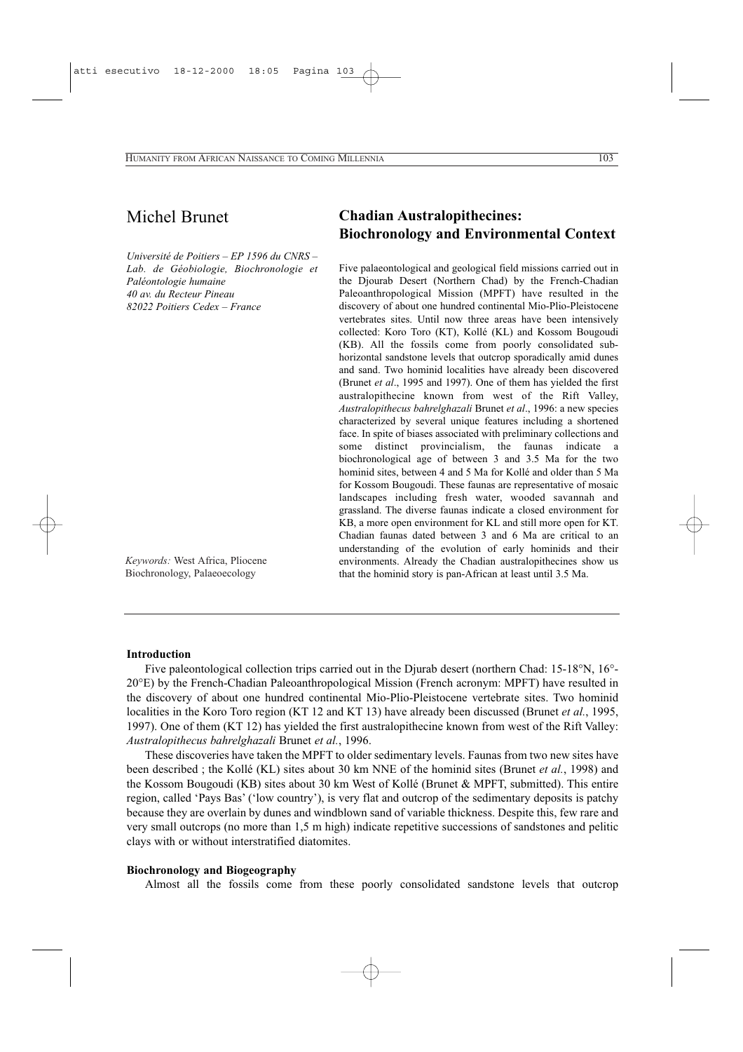# Michel Brunet

*Université de Poitiers – EP 1596 du CNRS – Lab. de Géobiologie, Biochronologie et Paléontologie humaine 40 av. du Recteur Pineau 82022 Poitiers Cedex – France*

*Keywords:* West Africa, Pliocene Biochronology, Palaeoecology

## **Chadian Australopithecines: Biochronology and Environmental Context**

Five palaeontological and geological field missions carried out in the Djourab Desert (Northern Chad) by the French-Chadian Paleoanthropological Mission (MPFT) have resulted in the discovery of about one hundred continental Mio-Plio-Pleistocene vertebrates sites. Until now three areas have been intensively collected: Koro Toro (KT), Kollé (KL) and Kossom Bougoudi (KB). All the fossils come from poorly consolidated subhorizontal sandstone levels that outcrop sporadically amid dunes and sand. Two hominid localities have already been discovered (Brunet *et al*., 1995 and 1997). One of them has yielded the first australopithecine known from west of the Rift Valley, *Australopithecus bahrelghazali* Brunet *et al*., 1996: a new species characterized by several unique features including a shortened face. In spite of biases associated with preliminary collections and some distinct provincialism, the faunas indicate a biochronological age of between 3 and 3.5 Ma for the two hominid sites, between 4 and 5 Ma for Kollé and older than 5 Ma for Kossom Bougoudi. These faunas are representative of mosaic landscapes including fresh water, wooded savannah and grassland. The diverse faunas indicate a closed environment for KB, a more open environment for KL and still more open for KT. Chadian faunas dated between 3 and 6 Ma are critical to an understanding of the evolution of early hominids and their environments. Already the Chadian australopithecines show us that the hominid story is pan-African at least until 3.5 Ma.

## **Introduction**

Five paleontological collection trips carried out in the Djurab desert (northern Chad: 15-18°N, 16°- 20°E) by the French-Chadian Paleoanthropological Mission (French acronym: MPFT) have resulted in the discovery of about one hundred continental Mio-Plio-Pleistocene vertebrate sites. Two hominid localities in the Koro Toro region (KT 12 and KT 13) have already been discussed (Brunet *et al.*, 1995, 1997). One of them (KT 12) has yielded the first australopithecine known from west of the Rift Valley: *Australopithecus bahrelghazali* Brunet *et al.*, 1996.

These discoveries have taken the MPFT to older sedimentary levels. Faunas from two new sites have been described ; the Kollé (KL) sites about 30 km NNE of the hominid sites (Brunet *et al.*, 1998) and the Kossom Bougoudi (KB) sites about 30 km West of Kollé (Brunet & MPFT, submitted). This entire region, called 'Pays Bas' ('low country'), is very flat and outcrop of the sedimentary deposits is patchy because they are overlain by dunes and windblown sand of variable thickness. Despite this, few rare and very small outcrops (no more than 1,5 m high) indicate repetitive successions of sandstones and pelitic clays with or without interstratified diatomites.

## **Biochronology and Biogeography**

Almost all the fossils come from these poorly consolidated sandstone levels that outcrop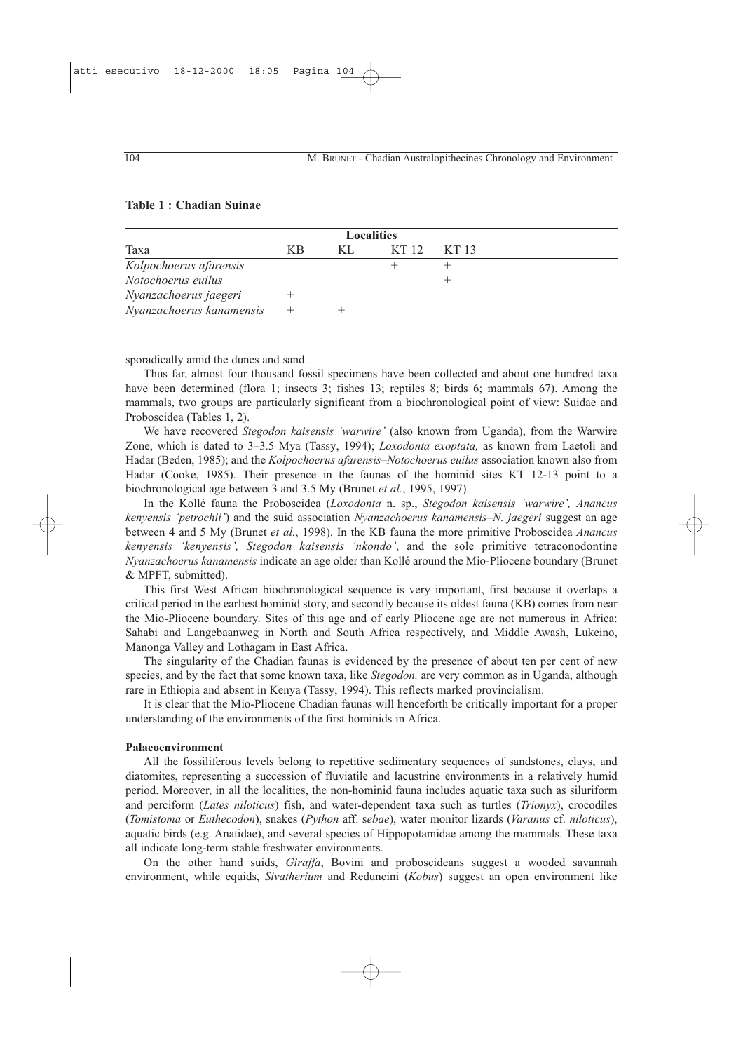#### **Table 1 : Chadian Suinae**

| Taxa                     | KВ | KL. | KT 12 | KT 13 |  |
|--------------------------|----|-----|-------|-------|--|
| Kolpochoerus afarensis   |    |     |       |       |  |
| Notochoerus euilus       |    |     |       |       |  |
| Nyanzachoerus jaegeri    |    |     |       |       |  |
| Nyanzachoerus kanamensis |    |     |       |       |  |

sporadically amid the dunes and sand.

Thus far, almost four thousand fossil specimens have been collected and about one hundred taxa have been determined (flora 1; insects 3; fishes 13; reptiles 8; birds 6; mammals 67). Among the mammals, two groups are particularly significant from a biochronological point of view: Suidae and Proboscidea (Tables 1, 2).

We have recovered *Stegodon kaisensis 'warwire'* (also known from Uganda), from the Warwire Zone, which is dated to 3–3.5 Mya (Tassy, 1994); *Loxodonta exoptata,* as known from Laetoli and Hadar (Beden, 1985); and the *Kolpochoerus afarensis–Notochoerus euilus* association known also from Hadar (Cooke, 1985). Their presence in the faunas of the hominid sites KT 12-13 point to a biochronological age between 3 and 3.5 My (Brunet *et al.*, 1995, 1997).

In the Kollé fauna the Proboscidea (*Loxodonta* n. sp., *Stegodon kaisensis 'warwire', Anancus kenyensis 'petrochii'*) and the suid association *Nyanzachoerus kanamensis–N. jaegeri* suggest an age between 4 and 5 My (Brunet *et al.*, 1998). In the KB fauna the more primitive Proboscidea *Anancus kenyensis 'kenyensis', Stegodon kaisensis 'nkondo'*, and the sole primitive tetraconodontine *Nyanzachoerus kanamensis* indicate an age older than Kollé around the Mio-Pliocene boundary (Brunet & MPFT, submitted).

This first West African biochronological sequence is very important, first because it overlaps a critical period in the earliest hominid story, and secondly because its oldest fauna (KB) comes from near the Mio-Pliocene boundary. Sites of this age and of early Pliocene age are not numerous in Africa: Sahabi and Langebaanweg in North and South Africa respectively, and Middle Awash, Lukeino, Manonga Valley and Lothagam in East Africa.

The singularity of the Chadian faunas is evidenced by the presence of about ten per cent of new species, and by the fact that some known taxa, like *Stegodon,* are very common as in Uganda, although rare in Ethiopia and absent in Kenya (Tassy, 1994). This reflects marked provincialism.

It is clear that the Mio-Pliocene Chadian faunas will henceforth be critically important for a proper understanding of the environments of the first hominids in Africa.

#### **Palaeoenvironment**

All the fossiliferous levels belong to repetitive sedimentary sequences of sandstones, clays, and diatomites, representing a succession of fluviatile and lacustrine environments in a relatively humid period. Moreover, in all the localities, the non-hominid fauna includes aquatic taxa such as siluriform and perciform (*Lates niloticus*) fish, and water-dependent taxa such as turtles (*Trionyx*), crocodiles (*Tomistoma* or *Euthecodon*), snakes (*Python* aff. s*ebae*), water monitor lizards (*Varanus* cf. *niloticus*), aquatic birds (e.g. Anatidae), and several species of Hippopotamidae among the mammals. These taxa all indicate long-term stable freshwater environments.

On the other hand suids, *Giraffa*, Bovini and proboscideans suggest a wooded savannah environment, while equids, *Sivatherium* and Reduncini (*Kobus*) suggest an open environment like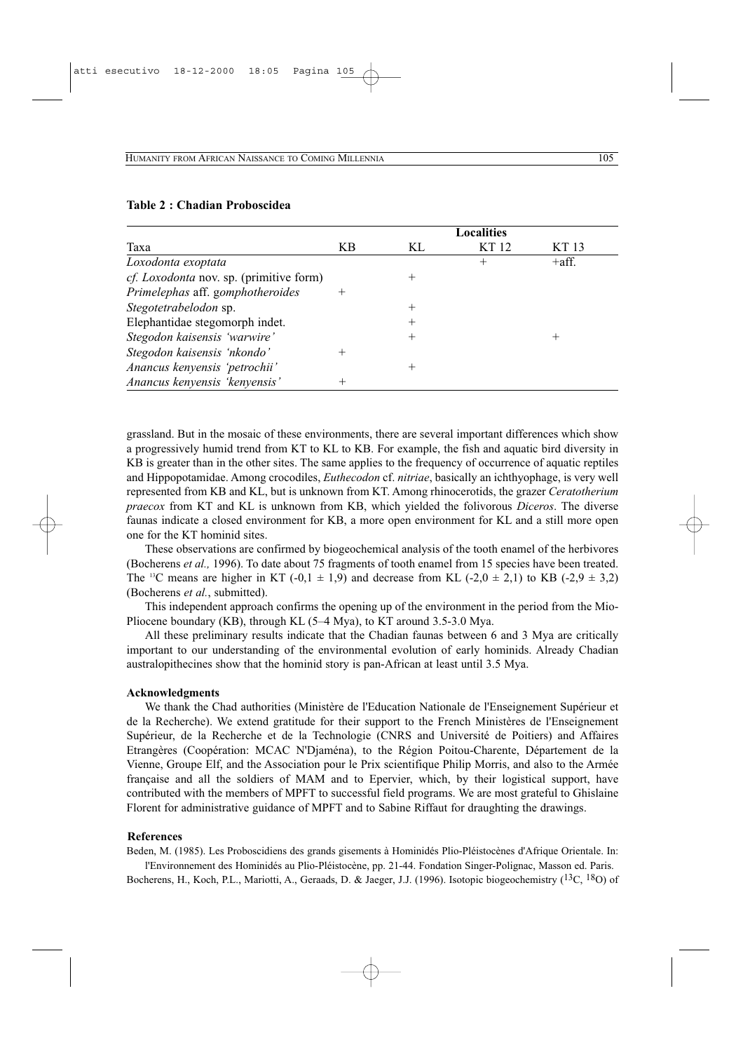|                                         | <b>Localities</b> |      |        |         |  |  |
|-----------------------------------------|-------------------|------|--------|---------|--|--|
| Taxa                                    | KB                | KL   | KT 12  | KT 13   |  |  |
| Loxodonta exoptata                      |                   |      | $^{+}$ | $+aff.$ |  |  |
| cf. Loxodonta nov. sp. (primitive form) |                   | +    |        |         |  |  |
| Primelephas aff. gomphotheroides        |                   |      |        |         |  |  |
| Stegotetrabelodon sp.                   |                   | $^+$ |        |         |  |  |
| Elephantidae stegomorph indet.          |                   | $^+$ |        |         |  |  |
| Stegodon kaisensis 'warwire'            |                   | $^+$ |        | $^+$    |  |  |
| Stegodon kaisensis 'nkondo'             | $^{+}$            |      |        |         |  |  |
| Anancus kenyensis 'petrochii'           |                   | $^+$ |        |         |  |  |
| Anancus kenyensis 'kenyensis'           | $^{+}$            |      |        |         |  |  |

## **Table 2 : Chadian Proboscidea**

grassland. But in the mosaic of these environments, there are several important differences which show a progressively humid trend from KT to KL to KB. For example, the fish and aquatic bird diversity in KB is greater than in the other sites. The same applies to the frequency of occurrence of aquatic reptiles and Hippopotamidae. Among crocodiles, *Euthecodon* cf. *nitriae*, basically an ichthyophage, is very well represented from KB and KL, but is unknown from KT. Among rhinocerotids, the grazer *Ceratotherium praecox* from KT and KL is unknown from KB, which yielded the folivorous *Diceros*. The diverse faunas indicate a closed environment for KB, a more open environment for KL and a still more open one for the KT hominid sites.

These observations are confirmed by biogeochemical analysis of the tooth enamel of the herbivores (Bocherens *et al.,* 1996). To date about 75 fragments of tooth enamel from 15 species have been treated. The <sup>13</sup>C means are higher in KT (-0,1  $\pm$  1,9) and decrease from KL (-2,0  $\pm$  2,1) to KB (-2,9  $\pm$  3,2) (Bocherens *et al.*, submitted).

This independent approach confirms the opening up of the environment in the period from the Mio-Pliocene boundary (KB), through KL (5–4 Mya), to KT around 3.5-3.0 Mya.

All these preliminary results indicate that the Chadian faunas between 6 and 3 Mya are critically important to our understanding of the environmental evolution of early hominids. Already Chadian australopithecines show that the hominid story is pan-African at least until 3.5 Mya.

#### **Acknowledgments**

We thank the Chad authorities (Ministère de l'Education Nationale de l'Enseignement Supérieur et de la Recherche). We extend gratitude for their support to the French Ministères de l'Enseignement Supérieur, de la Recherche et de la Technologie (CNRS and Université de Poitiers) and Affaires Etrangères (Coopération: MCAC N'Djaména), to the Région Poitou-Charente, Département de la Vienne, Groupe Elf, and the Association pour le Prix scientifique Philip Morris, and also to the Armée française and all the soldiers of MAM and to Epervier, which, by their logistical support, have contributed with the members of MPFT to successful field programs. We are most grateful to Ghislaine Florent for administrative guidance of MPFT and to Sabine Riffaut for draughting the drawings.

#### **References**

Beden, M. (1985). Les Proboscidiens des grands gisements à Hominidés Plio-Pléistocènes d'Afrique Orientale. In:

l'Environnement des Hominidés au Plio-Pléistocène, pp. 21-44. Fondation Singer-Polignac, Masson ed. Paris. Bocherens, H., Koch, P.L., Mariotti, A., Geraads, D. & Jaeger, J.J. (1996). Isotopic biogeochemistry  $(^{13}C, ^{18}O)$  of